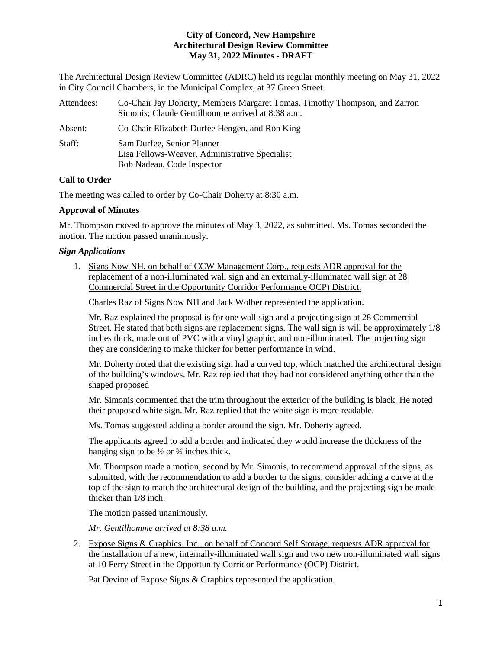The Architectural Design Review Committee (ADRC) held its regular monthly meeting on May 31, 2022 in City Council Chambers, in the Municipal Complex, at 37 Green Street.

| Attendees: | Co-Chair Jay Doherty, Members Margaret Tomas, Timothy Thompson, and Zarron<br>Simonis; Claude Gentilhomme arrived at 8:38 a.m. |
|------------|--------------------------------------------------------------------------------------------------------------------------------|
| Absent:    | Co-Chair Elizabeth Durfee Hengen, and Ron King                                                                                 |
| Staff:     | Sam Durfee, Senior Planner<br>Lisa Fellows-Weaver, Administrative Specialist<br>Bob Nadeau, Code Inspector                     |

# **Call to Order**

The meeting was called to order by Co-Chair Doherty at 8:30 a.m.

# **Approval of Minutes**

Mr. Thompson moved to approve the minutes of May 3, 2022, as submitted. Ms. Tomas seconded the motion. The motion passed unanimously.

# *Sign Applications*

1. Signs Now NH, on behalf of CCW Management Corp., requests ADR approval for the replacement of a non-illuminated wall sign and an externally-illuminated wall sign at 28 Commercial Street in the Opportunity Corridor Performance OCP) District.

Charles Raz of Signs Now NH and Jack Wolber represented the application.

Mr. Raz explained the proposal is for one wall sign and a projecting sign at 28 Commercial Street. He stated that both signs are replacement signs. The wall sign is will be approximately 1/8 inches thick, made out of PVC with a vinyl graphic, and non-illuminated. The projecting sign they are considering to make thicker for better performance in wind.

Mr. Doherty noted that the existing sign had a curved top, which matched the architectural design of the building's windows. Mr. Raz replied that they had not considered anything other than the shaped proposed

Mr. Simonis commented that the trim throughout the exterior of the building is black. He noted their proposed white sign. Mr. Raz replied that the white sign is more readable.

Ms. Tomas suggested adding a border around the sign. Mr. Doherty agreed.

The applicants agreed to add a border and indicated they would increase the thickness of the hanging sign to be  $\frac{1}{2}$  or  $\frac{3}{4}$  inches thick.

Mr. Thompson made a motion, second by Mr. Simonis, to recommend approval of the signs, as submitted, with the recommendation to add a border to the signs, consider adding a curve at the top of the sign to match the architectural design of the building, and the projecting sign be made thicker than 1/8 inch.

The motion passed unanimously.

*Mr. Gentilhomme arrived at 8:38 a.m.* 

2. Expose Signs & Graphics, Inc., on behalf of Concord Self Storage, requests ADR approval for the installation of a new, internally-illuminated wall sign and two new non-illuminated wall signs at 10 Ferry Street in the Opportunity Corridor Performance (OCP) District.

Pat Devine of Expose Signs & Graphics represented the application.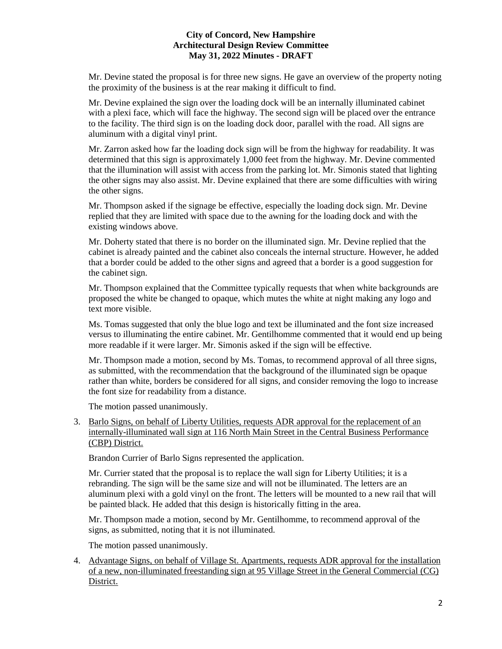Mr. Devine stated the proposal is for three new signs. He gave an overview of the property noting the proximity of the business is at the rear making it difficult to find.

Mr. Devine explained the sign over the loading dock will be an internally illuminated cabinet with a plexi face, which will face the highway. The second sign will be placed over the entrance to the facility. The third sign is on the loading dock door, parallel with the road. All signs are aluminum with a digital vinyl print.

Mr. Zarron asked how far the loading dock sign will be from the highway for readability. It was determined that this sign is approximately 1,000 feet from the highway. Mr. Devine commented that the illumination will assist with access from the parking lot. Mr. Simonis stated that lighting the other signs may also assist. Mr. Devine explained that there are some difficulties with wiring the other signs.

Mr. Thompson asked if the signage be effective, especially the loading dock sign. Mr. Devine replied that they are limited with space due to the awning for the loading dock and with the existing windows above.

Mr. Doherty stated that there is no border on the illuminated sign. Mr. Devine replied that the cabinet is already painted and the cabinet also conceals the internal structure. However, he added that a border could be added to the other signs and agreed that a border is a good suggestion for the cabinet sign.

Mr. Thompson explained that the Committee typically requests that when white backgrounds are proposed the white be changed to opaque, which mutes the white at night making any logo and text more visible.

Ms. Tomas suggested that only the blue logo and text be illuminated and the font size increased versus to illuminating the entire cabinet. Mr. Gentilhomme commented that it would end up being more readable if it were larger. Mr. Simonis asked if the sign will be effective.

Mr. Thompson made a motion, second by Ms. Tomas, to recommend approval of all three signs, as submitted, with the recommendation that the background of the illuminated sign be opaque rather than white, borders be considered for all signs, and consider removing the logo to increase the font size for readability from a distance.

The motion passed unanimously.

3. Barlo Signs, on behalf of Liberty Utilities, requests ADR approval for the replacement of an internally-illuminated wall sign at 116 North Main Street in the Central Business Performance (CBP) District.

Brandon Currier of Barlo Signs represented the application.

Mr. Currier stated that the proposal is to replace the wall sign for Liberty Utilities; it is a rebranding. The sign will be the same size and will not be illuminated. The letters are an aluminum plexi with a gold vinyl on the front. The letters will be mounted to a new rail that will be painted black. He added that this design is historically fitting in the area.

Mr. Thompson made a motion, second by Mr. Gentilhomme, to recommend approval of the signs, as submitted, noting that it is not illuminated.

The motion passed unanimously.

4. Advantage Signs, on behalf of Village St. Apartments, requests ADR approval for the installation of a new, non-illuminated freestanding sign at 95 Village Street in the General Commercial (CG) District.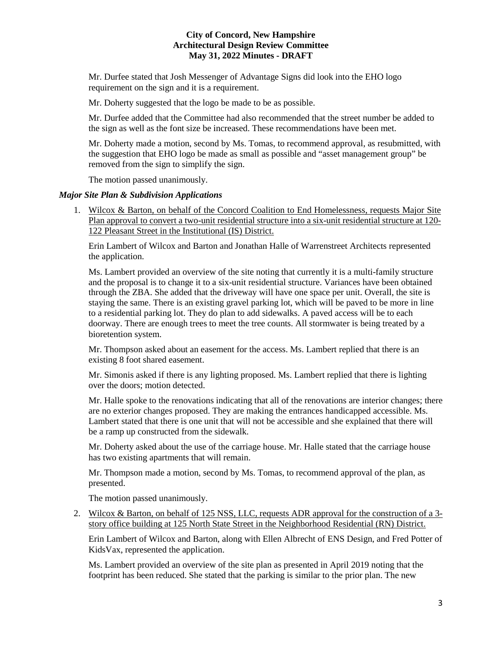Mr. Durfee stated that Josh Messenger of Advantage Signs did look into the EHO logo requirement on the sign and it is a requirement.

Mr. Doherty suggested that the logo be made to be as possible.

Mr. Durfee added that the Committee had also recommended that the street number be added to the sign as well as the font size be increased. These recommendations have been met.

Mr. Doherty made a motion, second by Ms. Tomas, to recommend approval, as resubmitted, with the suggestion that EHO logo be made as small as possible and "asset management group" be removed from the sign to simplify the sign.

The motion passed unanimously.

### *Major Site Plan & Subdivision Applications*

1. Wilcox & Barton, on behalf of the Concord Coalition to End Homelessness, requests Major Site Plan approval to convert a two-unit residential structure into a six-unit residential structure at 120- 122 Pleasant Street in the Institutional (IS) District.

Erin Lambert of Wilcox and Barton and Jonathan Halle of Warrenstreet Architects represented the application.

Ms. Lambert provided an overview of the site noting that currently it is a multi-family structure and the proposal is to change it to a six-unit residential structure. Variances have been obtained through the ZBA. She added that the driveway will have one space per unit. Overall, the site is staying the same. There is an existing gravel parking lot, which will be paved to be more in line to a residential parking lot. They do plan to add sidewalks. A paved access will be to each doorway. There are enough trees to meet the tree counts. All stormwater is being treated by a bioretention system.

Mr. Thompson asked about an easement for the access. Ms. Lambert replied that there is an existing 8 foot shared easement.

Mr. Simonis asked if there is any lighting proposed. Ms. Lambert replied that there is lighting over the doors; motion detected.

Mr. Halle spoke to the renovations indicating that all of the renovations are interior changes; there are no exterior changes proposed. They are making the entrances handicapped accessible. Ms. Lambert stated that there is one unit that will not be accessible and she explained that there will be a ramp up constructed from the sidewalk.

Mr. Doherty asked about the use of the carriage house. Mr. Halle stated that the carriage house has two existing apartments that will remain.

Mr. Thompson made a motion, second by Ms. Tomas, to recommend approval of the plan, as presented.

The motion passed unanimously.

2. Wilcox & Barton, on behalf of 125 NSS, LLC, requests ADR approval for the construction of a 3 story office building at 125 North State Street in the Neighborhood Residential (RN) District.

Erin Lambert of Wilcox and Barton, along with Ellen Albrecht of ENS Design, and Fred Potter of KidsVax, represented the application.

Ms. Lambert provided an overview of the site plan as presented in April 2019 noting that the footprint has been reduced. She stated that the parking is similar to the prior plan. The new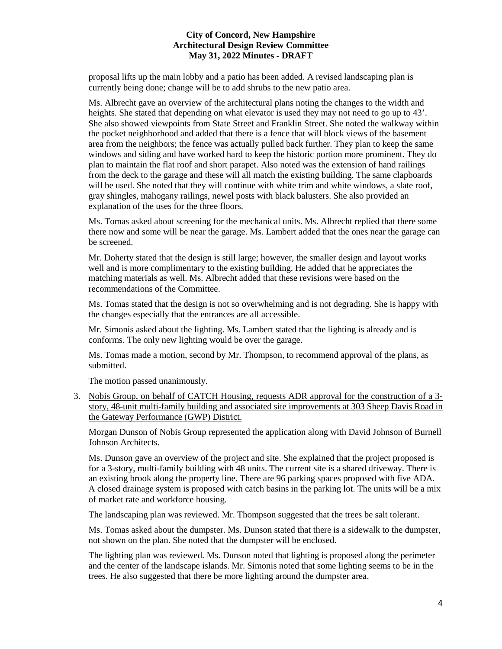proposal lifts up the main lobby and a patio has been added. A revised landscaping plan is currently being done; change will be to add shrubs to the new patio area.

Ms. Albrecht gave an overview of the architectural plans noting the changes to the width and heights. She stated that depending on what elevator is used they may not need to go up to 43'. She also showed viewpoints from State Street and Franklin Street. She noted the walkway within the pocket neighborhood and added that there is a fence that will block views of the basement area from the neighbors; the fence was actually pulled back further. They plan to keep the same windows and siding and have worked hard to keep the historic portion more prominent. They do plan to maintain the flat roof and short parapet. Also noted was the extension of hand railings from the deck to the garage and these will all match the existing building. The same clapboards will be used. She noted that they will continue with white trim and white windows, a slate roof, gray shingles, mahogany railings, newel posts with black balusters. She also provided an explanation of the uses for the three floors.

Ms. Tomas asked about screening for the mechanical units. Ms. Albrecht replied that there some there now and some will be near the garage. Ms. Lambert added that the ones near the garage can be screened.

Mr. Doherty stated that the design is still large; however, the smaller design and layout works well and is more complimentary to the existing building. He added that he appreciates the matching materials as well. Ms. Albrecht added that these revisions were based on the recommendations of the Committee.

Ms. Tomas stated that the design is not so overwhelming and is not degrading. She is happy with the changes especially that the entrances are all accessible.

Mr. Simonis asked about the lighting. Ms. Lambert stated that the lighting is already and is conforms. The only new lighting would be over the garage.

Ms. Tomas made a motion, second by Mr. Thompson, to recommend approval of the plans, as submitted.

The motion passed unanimously.

3. Nobis Group, on behalf of CATCH Housing, requests ADR approval for the construction of a 3 story, 48-unit multi-family building and associated site improvements at 303 Sheep Davis Road in the Gateway Performance (GWP) District.

Morgan Dunson of Nobis Group represented the application along with David Johnson of Burnell Johnson Architects.

Ms. Dunson gave an overview of the project and site. She explained that the project proposed is for a 3-story, multi-family building with 48 units. The current site is a shared driveway. There is an existing brook along the property line. There are 96 parking spaces proposed with five ADA. A closed drainage system is proposed with catch basins in the parking lot. The units will be a mix of market rate and workforce housing.

The landscaping plan was reviewed. Mr. Thompson suggested that the trees be salt tolerant.

Ms. Tomas asked about the dumpster. Ms. Dunson stated that there is a sidewalk to the dumpster, not shown on the plan. She noted that the dumpster will be enclosed.

The lighting plan was reviewed. Ms. Dunson noted that lighting is proposed along the perimeter and the center of the landscape islands. Mr. Simonis noted that some lighting seems to be in the trees. He also suggested that there be more lighting around the dumpster area.